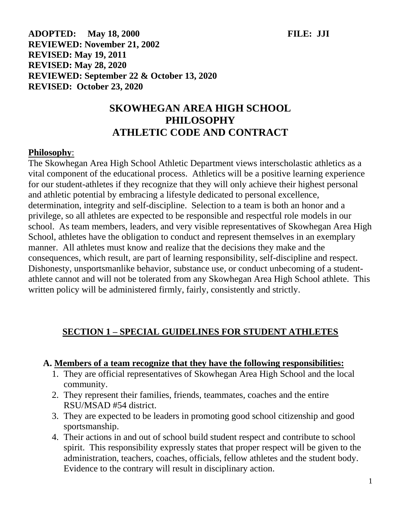**ADOPTED: May 18, 2000 FILE: JJI REVIEWED: November 21, 2002 REVISED: May 19, 2011 REVISED: May 28, 2020 REVIEWED: September 22 & October 13, 2020 REVISED: October 23, 2020**

# **SKOWHEGAN AREA HIGH SCHOOL PHILOSOPHY ATHLETIC CODE AND CONTRACT**

#### **Philosophy**:

The Skowhegan Area High School Athletic Department views interscholastic athletics as a vital component of the educational process. Athletics will be a positive learning experience for our student-athletes if they recognize that they will only achieve their highest personal and athletic potential by embracing a lifestyle dedicated to personal excellence, determination, integrity and self-discipline. Selection to a team is both an honor and a privilege, so all athletes are expected to be responsible and respectful role models in our school. As team members, leaders, and very visible representatives of Skowhegan Area High School, athletes have the obligation to conduct and represent themselves in an exemplary manner. All athletes must know and realize that the decisions they make and the consequences, which result, are part of learning responsibility, self-discipline and respect. Dishonesty, unsportsmanlike behavior, substance use, or conduct unbecoming of a studentathlete cannot and will not be tolerated from any Skowhegan Area High School athlete. This written policy will be administered firmly, fairly, consistently and strictly.

# **SECTION 1 – SPECIAL GUIDELINES FOR STUDENT ATHLETES**

#### **A. Members of a team recognize that they have the following responsibilities:**

- 1. They are official representatives of Skowhegan Area High School and the local community.
- 2. They represent their families, friends, teammates, coaches and the entire RSU/MSAD #54 district.
- 3. They are expected to be leaders in promoting good school citizenship and good sportsmanship.
- 4. Their actions in and out of school build student respect and contribute to school spirit. This responsibility expressly states that proper respect will be given to the administration, teachers, coaches, officials, fellow athletes and the student body. Evidence to the contrary will result in disciplinary action.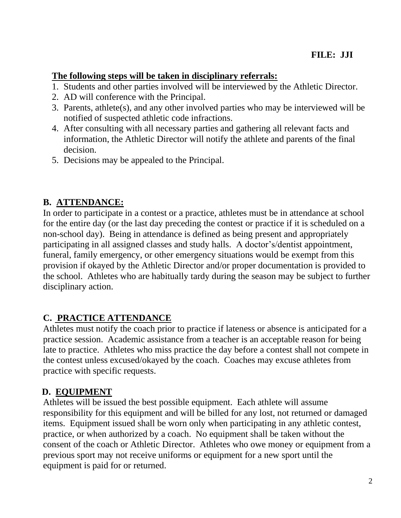#### **The following steps will be taken in disciplinary referrals:**

- 1. Students and other parties involved will be interviewed by the Athletic Director.
- 2. AD will conference with the Principal.
- 3. Parents, athlete(s), and any other involved parties who may be interviewed will be notified of suspected athletic code infractions.
- 4. After consulting with all necessary parties and gathering all relevant facts and information, the Athletic Director will notify the athlete and parents of the final decision.
- 5. Decisions may be appealed to the Principal.

# **B. ATTENDANCE:**

In order to participate in a contest or a practice, athletes must be in attendance at school for the entire day (or the last day preceding the contest or practice if it is scheduled on a non-school day). Being in attendance is defined as being present and appropriately participating in all assigned classes and study halls. A doctor's/dentist appointment, funeral, family emergency, or other emergency situations would be exempt from this provision if okayed by the Athletic Director and/or proper documentation is provided to the school. Athletes who are habitually tardy during the season may be subject to further disciplinary action.

# **C. PRACTICE ATTENDANCE**

Athletes must notify the coach prior to practice if lateness or absence is anticipated for a practice session. Academic assistance from a teacher is an acceptable reason for being late to practice. Athletes who miss practice the day before a contest shall not compete in the contest unless excused/okayed by the coach. Coaches may excuse athletes from practice with specific requests.

# **D. EQUIPMENT**

Athletes will be issued the best possible equipment. Each athlete will assume responsibility for this equipment and will be billed for any lost, not returned or damaged items. Equipment issued shall be worn only when participating in any athletic contest, practice, or when authorized by a coach. No equipment shall be taken without the consent of the coach or Athletic Director. Athletes who owe money or equipment from a previous sport may not receive uniforms or equipment for a new sport until the equipment is paid for or returned.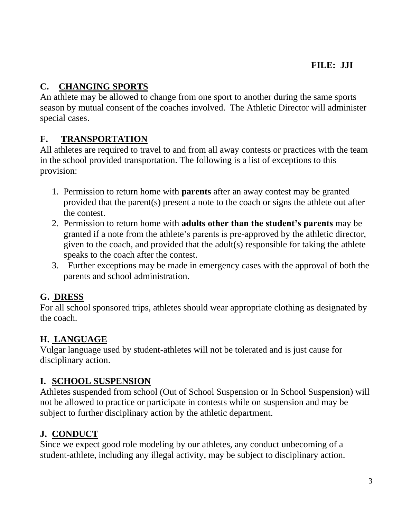# **C. CHANGING SPORTS**

An athlete may be allowed to change from one sport to another during the same sports season by mutual consent of the coaches involved. The Athletic Director will administer special cases.

# **F. TRANSPORTATION**

All athletes are required to travel to and from all away contests or practices with the team in the school provided transportation. The following is a list of exceptions to this provision:

- 1. Permission to return home with **parents** after an away contest may be granted provided that the parent(s) present a note to the coach or signs the athlete out after the contest.
- 2. Permission to return home with **adults other than the student's parents** may be granted if a note from the athlete's parents is pre-approved by the athletic director, given to the coach, and provided that the adult(s) responsible for taking the athlete speaks to the coach after the contest.
- 3. Further exceptions may be made in emergency cases with the approval of both the parents and school administration.

# **G. DRESS**

For all school sponsored trips, athletes should wear appropriate clothing as designated by the coach.

# **H. LANGUAGE**

Vulgar language used by student-athletes will not be tolerated and is just cause for disciplinary action.

# **I. SCHOOL SUSPENSION**

Athletes suspended from school (Out of School Suspension or In School Suspension) will not be allowed to practice or participate in contests while on suspension and may be subject to further disciplinary action by the athletic department.

# **J. CONDUCT**

Since we expect good role modeling by our athletes, any conduct unbecoming of a student-athlete, including any illegal activity, may be subject to disciplinary action.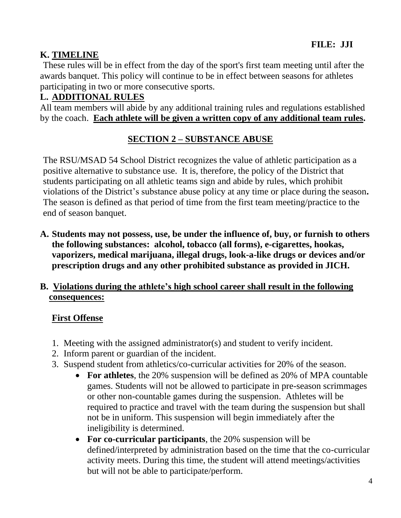### **K. TIMELINE**

These rules will be in effect from the day of the sport's first team meeting until after the awards banquet. This policy will continue to be in effect between seasons for athletes participating in two or more consecutive sports.

### **L. ADDITIONAL RULES**

All team members will abide by any additional training rules and regulations established by the coach. **Each athlete will be given a written copy of any additional team rules.**

# **SECTION 2 – SUBSTANCE ABUSE**

The RSU/MSAD 54 School District recognizes the value of athletic participation as a positive alternative to substance use. It is, therefore, the policy of the District that students participating on all athletic teams sign and abide by rules, which prohibit violations of the District's substance abuse policy at any time or place during the season**.**  The season is defined as that period of time from the first team meeting/practice to the end of season banquet.

**A. Students may not possess, use, be under the influence of, buy, or furnish to others the following substances: alcohol, tobacco (all forms), e-cigarettes, hookas, vaporizers, medical marijuana, illegal drugs, look-a-like drugs or devices and/or prescription drugs and any other prohibited substance as provided in JICH.**

### **B. Violations during the athlete's high school career shall result in the following consequences:**

#### **First Offense**

- 1. Meeting with the assigned administrator(s) and student to verify incident.
- 2. Inform parent or guardian of the incident.
- 3. Suspend student from athletics/co-curricular activities for 20% of the season.
	- **For athletes**, the 20% suspension will be defined as 20% of MPA countable games. Students will not be allowed to participate in pre-season scrimmages or other non-countable games during the suspension. Athletes will be required to practice and travel with the team during the suspension but shall not be in uniform. This suspension will begin immediately after the ineligibility is determined.
	- **For co-curricular participants**, the 20% suspension will be defined/interpreted by administration based on the time that the co-curricular activity meets. During this time, the student will attend meetings/activities but will not be able to participate/perform.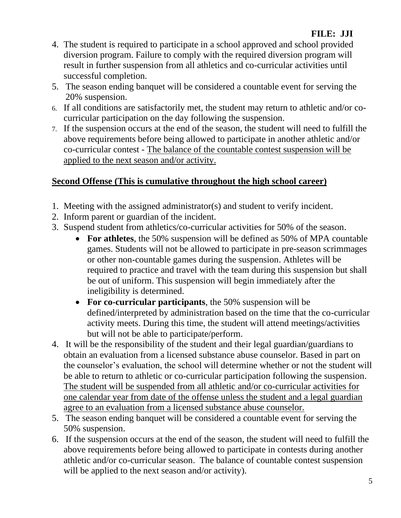- 4. The student is required to participate in a school approved and school provided diversion program. Failure to comply with the required diversion program will result in further suspension from all athletics and co-curricular activities until successful completion.
- 5. The season ending banquet will be considered a countable event for serving the 20% suspension.
- 6. If all conditions are satisfactorily met, the student may return to athletic and/or cocurricular participation on the day following the suspension.
- 7. If the suspension occurs at the end of the season, the student will need to fulfill the above requirements before being allowed to participate in another athletic and/or co-curricular contest - The balance of the countable contest suspension will be applied to the next season and/or activity.

### **Second Offense (This is cumulative throughout the high school career)**

- 1. Meeting with the assigned administrator(s) and student to verify incident.
- 2. Inform parent or guardian of the incident.
- 3. Suspend student from athletics/co-curricular activities for 50% of the season.
	- **For athletes**, the 50% suspension will be defined as 50% of MPA countable games. Students will not be allowed to participate in pre-season scrimmages or other non-countable games during the suspension. Athletes will be required to practice and travel with the team during this suspension but shall be out of uniform. This suspension will begin immediately after the ineligibility is determined.
	- **For co-curricular participants**, the 50% suspension will be defined/interpreted by administration based on the time that the co-curricular activity meets. During this time, the student will attend meetings/activities but will not be able to participate/perform.
- 4.It will be the responsibility of the student and their legal guardian/guardians to obtain an evaluation from a licensed substance abuse counselor. Based in part on the counselor's evaluation, the school will determine whether or not the student will be able to return to athletic or co-curricular participation following the suspension. The student will be suspended from all athletic and/or co-curricular activities for one calendar year from date of the offense unless the student and a legal guardian agree to an evaluation from a licensed substance abuse counselor.
- 5. The season ending banquet will be considered a countable event for serving the 50% suspension.
- 6.If the suspension occurs at the end of the season, the student will need to fulfill the above requirements before being allowed to participate in contests during another athletic and/or co-curricular season. The balance of countable contest suspension will be applied to the next season and/or activity).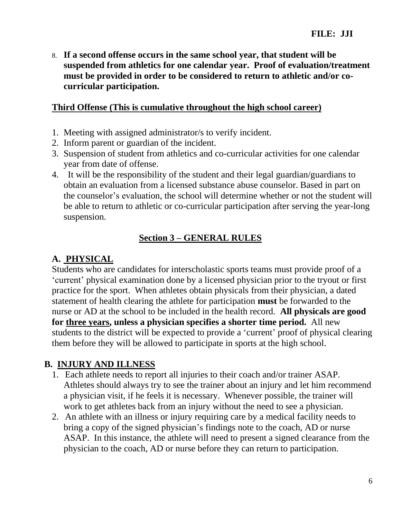8. **If a second offense occurs in the same school year, that student will be suspended from athletics for one calendar year. Proof of evaluation/treatment must be provided in order to be considered to return to athletic and/or cocurricular participation.**

#### **Third Offense (This is cumulative throughout the high school career)**

- 1. Meeting with assigned administrator/s to verify incident.
- 2. Inform parent or guardian of the incident.
- 3. Suspension of student from athletics and co-curricular activities for one calendar year from date of offense.
- 4.It will be the responsibility of the student and their legal guardian/guardians to obtain an evaluation from a licensed substance abuse counselor. Based in part on the counselor's evaluation, the school will determine whether or not the student will be able to return to athletic or co-curricular participation after serving the year-long suspension.

# **Section 3 – GENERAL RULES**

# **A. PHYSICAL**

Students who are candidates for interscholastic sports teams must provide proof of a 'current' physical examination done by a licensed physician prior to the tryout or first practice for the sport. When athletes obtain physicals from their physician, a dated statement of health clearing the athlete for participation **must** be forwarded to the nurse or AD at the school to be included in the health record. **All physicals are good for three years, unless a physician specifies a shorter time period.** All new students to the district will be expected to provide a 'current' proof of physical clearing them before they will be allowed to participate in sports at the high school.

# **B. INJURY AND ILLNESS**

- 1. Each athlete needs to report all injuries to their coach and/or trainer ASAP. Athletes should always try to see the trainer about an injury and let him recommend a physician visit, if he feels it is necessary. Whenever possible, the trainer will work to get athletes back from an injury without the need to see a physician.
- 2. An athlete with an illness or injury requiring care by a medical facility needs to bring a copy of the signed physician's findings note to the coach, AD or nurse ASAP. In this instance, the athlete will need to present a signed clearance from the physician to the coach, AD or nurse before they can return to participation.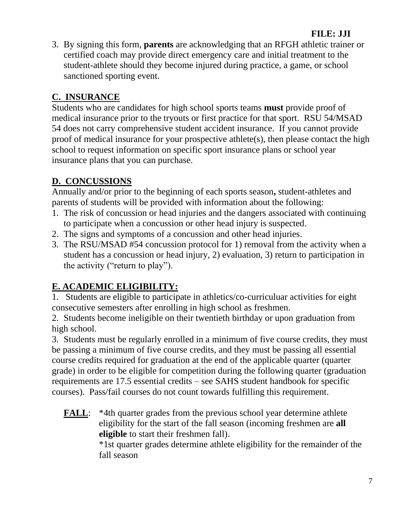# **FILE: JJI**

3. By signing this form, **parents** are acknowledging that an RFGH athletic trainer or certified coach may provide direct emergency care and initial treatment to the student-athlete should they become injured during practice, a game, or school sanctioned sporting event.

### **C. INSURANCE**

Students who are candidates for high school sports teams **must** provide proof of medical insurance prior to the tryouts or first practice for that sport. RSU 54/MSAD 54 does not carry comprehensive student accident insurance. If you cannot provide proof of medical insurance for your prospective athlete(s), then please contact the high school to request information on specific sport insurance plans or school year insurance plans that you can purchase.

### **D. CONCUSSIONS**

Annually and/or prior to the beginning of each sports season**,** student-athletes and parents of students will be provided with information about the following:

- 1. The risk of concussion or head injuries and the dangers associated with continuing to participate when a concussion or other head injury is suspected.
- 2. The signs and symptoms of a concussion and other head injuries.
- 3. The RSU/MSAD #54 concussion protocol for 1) removal from the activity when a student has a concussion or head injury, 2) evaluation, 3) return to participation in the activity ("return to play").

# **E. ACADEMIC ELIGIBILITY:**

1. Students are eligible to participate in athletics/co-curriculuar activities for eight consecutive semesters after enrolling in high school as freshmen.

2. Students become ineligible on their twentieth birthday or upon graduation from high school.

3. Students must be regularly enrolled in a minimum of five course credits, they must be passing a minimum of five course credits, and they must be passing all essential course credits required for graduation at the end of the applicable quarter (quarter grade) in order to be eligible for competition during the following quarter (graduation requirements are 17.5 essential credits – see SAHS student handbook for specific courses). Pass/fail courses do not count towards fulfilling this requirement.

**FALL:** \*4th quarter grades from the previous school year determine athlete eligibility for the start of the fall season (incoming freshmen are **all eligible** to start their freshmen fall).

\*1st quarter grades determine athlete eligibility for the remainder of the fall season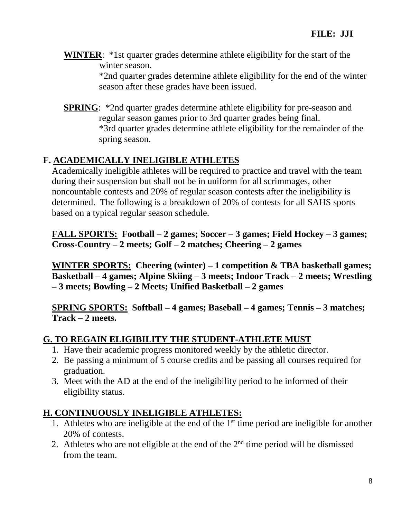**WINTER**: \*1st quarter grades determine athlete eligibility for the start of the winter season.

> \*2nd quarter grades determine athlete eligibility for the end of the winter season after these grades have been issued.

**SPRING:** \*2nd quarter grades determine athlete eligibility for pre-season and regular season games prior to 3rd quarter grades being final. \*3rd quarter grades determine athlete eligibility for the remainder of the spring season.

# **F. ACADEMICALLY INELIGIBLE ATHLETES**

Academically ineligible athletes will be required to practice and travel with the team during their suspension but shall not be in uniform for all scrimmages, other noncountable contests and 20% of regular season contests after the ineligibility is determined. The following is a breakdown of 20% of contests for all SAHS sports based on a typical regular season schedule.

**FALL SPORTS: Football – 2 games; Soccer – 3 games; Field Hockey – 3 games; Cross-Country – 2 meets; Golf – 2 matches; Cheering – 2 games**

**WINTER SPORTS: Cheering (winter) – 1 competition & TBA basketball games; Basketball – 4 games; Alpine Skiing – 3 meets; Indoor Track – 2 meets; Wrestling – 3 meets; Bowling – 2 Meets; Unified Basketball – 2 games**

**SPRING SPORTS: Softball – 4 games; Baseball – 4 games; Tennis – 3 matches; Track – 2 meets.**

### **G. TO REGAIN ELIGIBILITY THE STUDENT-ATHLETE MUST**

- 1. Have their academic progress monitored weekly by the athletic director.
- 2. Be passing a minimum of 5 course credits and be passing all courses required for graduation.
- 3. Meet with the AD at the end of the ineligibility period to be informed of their eligibility status.

### **H. CONTINUOUSLY INELIGIBLE ATHLETES:**

- 1. Athletes who are ineligible at the end of the  $1<sup>st</sup>$  time period are ineligible for another 20% of contests.
- 2. Athletes who are not eligible at the end of the  $2<sup>nd</sup>$  time period will be dismissed from the team.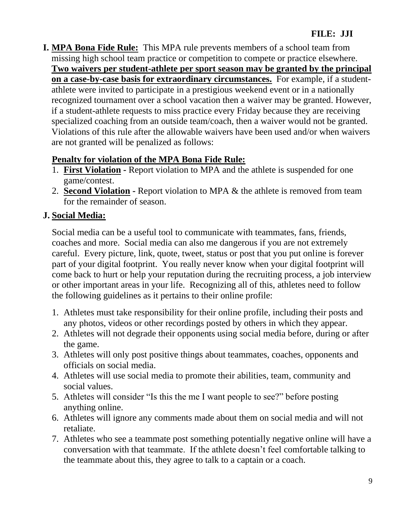**I. MPA Bona Fide Rule:** This MPA rule prevents members of a school team from missing high school team practice or competition to compete or practice elsewhere. **Two waivers per student-athlete per sport season may be granted by the principal on a case-by-case basis for extraordinary circumstances.** For example, if a studentathlete were invited to participate in a prestigious weekend event or in a nationally recognized tournament over a school vacation then a waiver may be granted. However, if a student-athlete requests to miss practice every Friday because they are receiving specialized coaching from an outside team/coach, then a waiver would not be granted. Violations of this rule after the allowable waivers have been used and/or when waivers are not granted will be penalized as follows:

# **Penalty for violation of the MPA Bona Fide Rule:**

- 1. **First Violation -** Report violation to MPA and the athlete is suspended for one game/contest.
- 2. **Second Violation -** Report violation to MPA & the athlete is removed from team for the remainder of season.

# **J. Social Media:**

Social media can be a useful tool to communicate with teammates, fans, friends, coaches and more. Social media can also me dangerous if you are not extremely careful. Every picture, link, quote, tweet, status or post that you put online is forever part of your digital footprint. You really never know when your digital footprint will come back to hurt or help your reputation during the recruiting process, a job interview or other important areas in your life. Recognizing all of this, athletes need to follow the following guidelines as it pertains to their online profile:

- 1. Athletes must take responsibility for their online profile, including their posts and any photos, videos or other recordings posted by others in which they appear.
- 2. Athletes will not degrade their opponents using social media before, during or after the game.
- 3. Athletes will only post positive things about teammates, coaches, opponents and officials on social media.
- 4. Athletes will use social media to promote their abilities, team, community and social values.
- 5. Athletes will consider "Is this the me I want people to see?" before posting anything online.
- 6. Athletes will ignore any comments made about them on social media and will not retaliate.
- 7. Athletes who see a teammate post something potentially negative online will have a conversation with that teammate. If the athlete doesn't feel comfortable talking to the teammate about this, they agree to talk to a captain or a coach.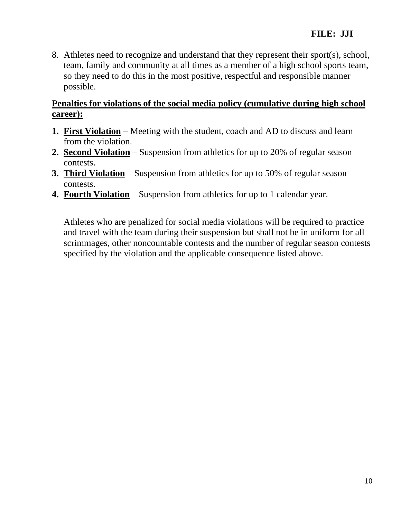8. Athletes need to recognize and understand that they represent their sport(s), school, team, family and community at all times as a member of a high school sports team, so they need to do this in the most positive, respectful and responsible manner possible.

### **Penalties for violations of the social media policy (cumulative during high school career):**

- **1. First Violation** Meeting with the student, coach and AD to discuss and learn from the violation.
- **2. Second Violation** Suspension from athletics for up to 20% of regular season contests.
- **3. Third Violation** Suspension from athletics for up to 50% of regular season contests.
- **4. Fourth Violation** Suspension from athletics for up to 1 calendar year.

Athletes who are penalized for social media violations will be required to practice and travel with the team during their suspension but shall not be in uniform for all scrimmages, other noncountable contests and the number of regular season contests specified by the violation and the applicable consequence listed above.